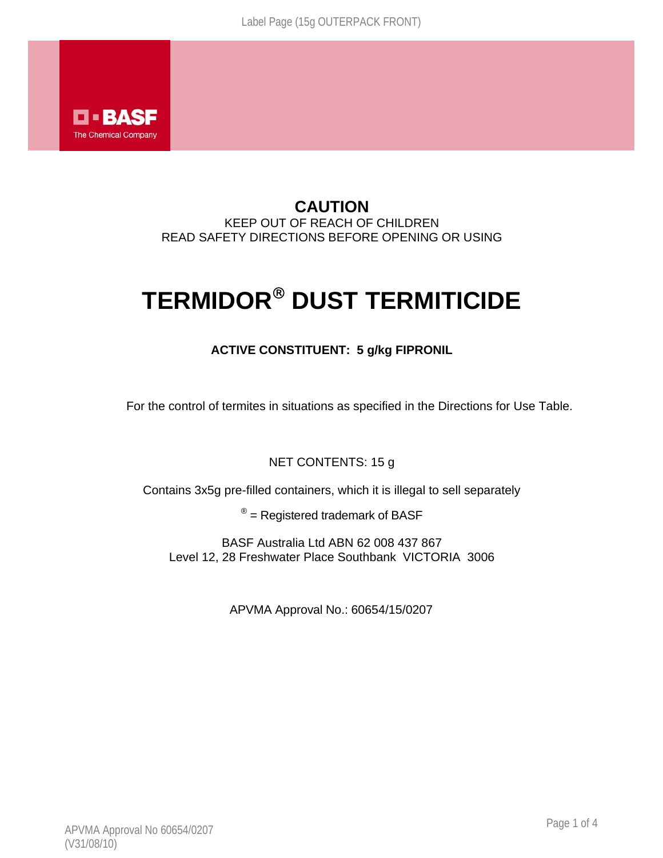

## **CAUTION**  KEEP OUT OF REACH OF CHILDREN READ SAFETY DIRECTIONS BEFORE OPENING OR USING

# **TERMIDOR**® **DUST TERMITICIDE**

## **ACTIVE CONSTITUENT: 5 g/kg FIPRONIL**

For the control of termites in situations as specified in the Directions for Use Table.

## NET CONTENTS: 15 g

Contains 3x5g pre-filled containers, which it is illegal to sell separately

 $<sup>®</sup>$  = Registered trademark of BASF</sup>

BASF Australia Ltd ABN 62 008 437 867 Level 12, 28 Freshwater Place Southbank VICTORIA 3006

APVMA Approval No.: 60654/15/0207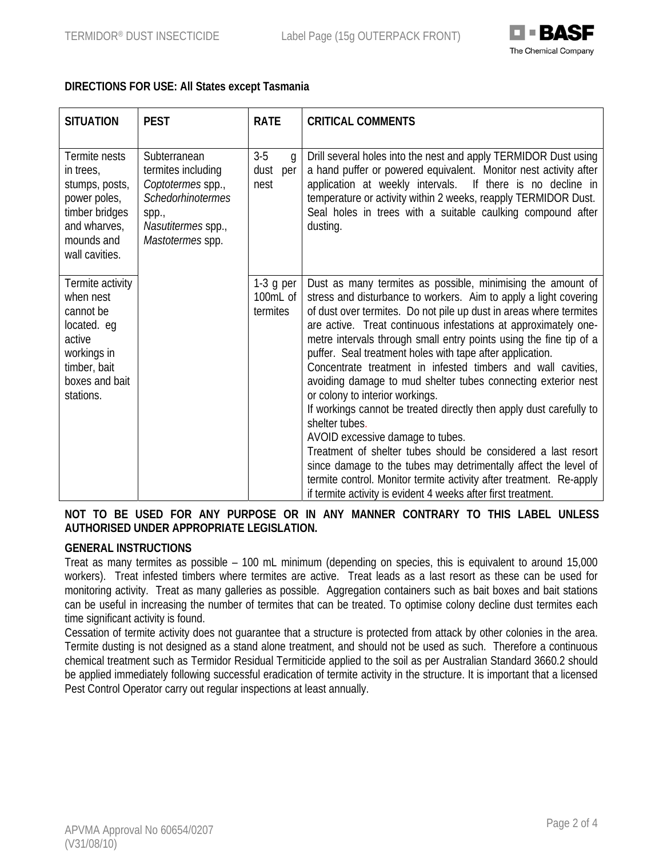

## **DIRECTIONS FOR USE: All States except Tasmania**

| <b>SITUATION</b>                                                                                                                  | <b>PEST</b>                                                                                                                            | <b>RATE</b>                                    | <b>CRITICAL COMMENTS</b>                                                                                                                                                                                                                                                                                                                                                                                                                                                                                                                                                                                                                                                                                                                                                                                                                                                                                                                                                                 |
|-----------------------------------------------------------------------------------------------------------------------------------|----------------------------------------------------------------------------------------------------------------------------------------|------------------------------------------------|------------------------------------------------------------------------------------------------------------------------------------------------------------------------------------------------------------------------------------------------------------------------------------------------------------------------------------------------------------------------------------------------------------------------------------------------------------------------------------------------------------------------------------------------------------------------------------------------------------------------------------------------------------------------------------------------------------------------------------------------------------------------------------------------------------------------------------------------------------------------------------------------------------------------------------------------------------------------------------------|
| Termite nests<br>in trees,<br>stumps, posts,<br>power poles,<br>timber bridges<br>and wharves,<br>mounds and<br>wall cavities.    | Subterranean<br>termites including<br>Coptotermes spp.,<br><b>Schedorhinotermes</b><br>spp.,<br>Nasutitermes spp.,<br>Mastotermes spp. | $3-5$<br>$\mathfrak{g}$<br>dust<br>per<br>nest | Drill several holes into the nest and apply TERMIDOR Dust using<br>a hand puffer or powered equivalent. Monitor nest activity after<br>application at weekly intervals. If there is no decline in<br>temperature or activity within 2 weeks, reapply TERMIDOR Dust.<br>Seal holes in trees with a suitable caulking compound after<br>dusting.                                                                                                                                                                                                                                                                                                                                                                                                                                                                                                                                                                                                                                           |
| Termite activity<br>when nest<br>cannot be<br>located. eq<br>active<br>workings in<br>timber, bait<br>boxes and bait<br>stations. |                                                                                                                                        | $1-3$ g per<br>100mL of<br>termites            | Dust as many termites as possible, minimising the amount of<br>stress and disturbance to workers. Aim to apply a light covering<br>of dust over termites. Do not pile up dust in areas where termites<br>are active. Treat continuous infestations at approximately one-<br>metre intervals through small entry points using the fine tip of a<br>puffer. Seal treatment holes with tape after application.<br>Concentrate treatment in infested timbers and wall cavities,<br>avoiding damage to mud shelter tubes connecting exterior nest<br>or colony to interior workings.<br>If workings cannot be treated directly then apply dust carefully to<br>shelter tubes.<br>AVOID excessive damage to tubes.<br>Treatment of shelter tubes should be considered a last resort<br>since damage to the tubes may detrimentally affect the level of<br>termite control. Monitor termite activity after treatment. Re-apply<br>if termite activity is evident 4 weeks after first treatment. |

## **NOT TO BE USED FOR ANY PURPOSE OR IN ANY MANNER CONTRARY TO THIS LABEL UNLESS AUTHORISED UNDER APPROPRIATE LEGISLATION.**

#### **GENERAL INSTRUCTIONS**

Treat as many termites as possible – 100 mL minimum (depending on species, this is equivalent to around 15,000 workers). Treat infested timbers where termites are active. Treat leads as a last resort as these can be used for monitoring activity. Treat as many galleries as possible. Aggregation containers such as bait boxes and bait stations can be useful in increasing the number of termites that can be treated. To optimise colony decline dust termites each time significant activity is found.

Cessation of termite activity does not guarantee that a structure is protected from attack by other colonies in the area. Termite dusting is not designed as a stand alone treatment, and should not be used as such. Therefore a continuous chemical treatment such as Termidor Residual Termiticide applied to the soil as per Australian Standard 3660.2 should be applied immediately following successful eradication of termite activity in the structure. It is important that a licensed Pest Control Operator carry out regular inspections at least annually.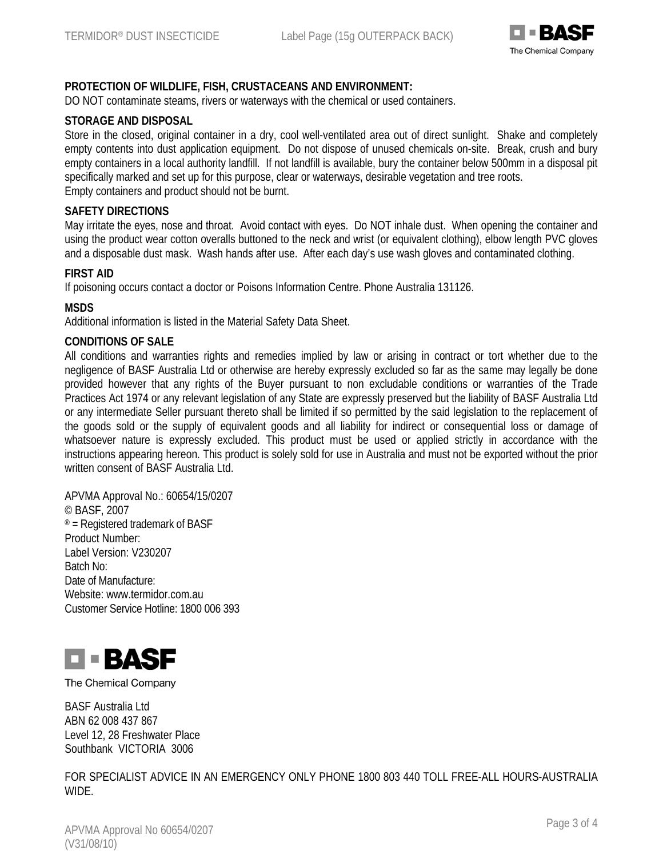

## **PROTECTION OF WILDLIFE, FISH, CRUSTACEANS AND ENVIRONMENT:**

DO NOT contaminate steams, rivers or waterways with the chemical or used containers.

#### **STORAGE AND DISPOSAL**

Store in the closed, original container in a dry, cool well-ventilated area out of direct sunlight. Shake and completely empty contents into dust application equipment. Do not dispose of unused chemicals on-site. Break, crush and bury empty containers in a local authority landfill. If not landfill is available, bury the container below 500mm in a disposal pit specifically marked and set up for this purpose, clear or waterways, desirable vegetation and tree roots. Empty containers and product should not be burnt.

#### **SAFETY DIRECTIONS**

May irritate the eyes, nose and throat. Avoid contact with eyes. Do NOT inhale dust. When opening the container and using the product wear cotton overalls buttoned to the neck and wrist (or equivalent clothing), elbow length PVC gloves and a disposable dust mask. Wash hands after use. After each day's use wash gloves and contaminated clothing.

#### **FIRST AID**

If poisoning occurs contact a doctor or Poisons Information Centre. Phone Australia 131126.

#### **MSDS**

Additional information is listed in the Material Safety Data Sheet.

#### **CONDITIONS OF SALE**

All conditions and warranties rights and remedies implied by law or arising in contract or tort whether due to the negligence of BASF Australia Ltd or otherwise are hereby expressly excluded so far as the same may legally be done provided however that any rights of the Buyer pursuant to non excludable conditions or warranties of the Trade Practices Act 1974 or any relevant legislation of any State are expressly preserved but the liability of BASF Australia Ltd or any intermediate Seller pursuant thereto shall be limited if so permitted by the said legislation to the replacement of the goods sold or the supply of equivalent goods and all liability for indirect or consequential loss or damage of whatsoever nature is expressly excluded. This product must be used or applied strictly in accordance with the instructions appearing hereon. This product is solely sold for use in Australia and must not be exported without the prior written consent of BASF Australia Ltd.

APVMA Approval No.: 60654/15/0207 © BASF, 2007  $<sup>®</sup>$  = Registered trademark of BASF</sup> Product Number: Label Version: V230207 Batch No: Date of Manufacture: Website: www.termidor.com.au Customer Service Hotline: 1800 006 393



The Chemical Company

BASF Australia Ltd ABN 62 008 437 867 Level 12, 28 Freshwater Place Southbank VICTORIA 3006

FOR SPECIALIST ADVICE IN AN EMERGENCY ONLY PHONE 1800 803 440 TOLL FREE-ALL HOURS-AUSTRALIA WIDE.